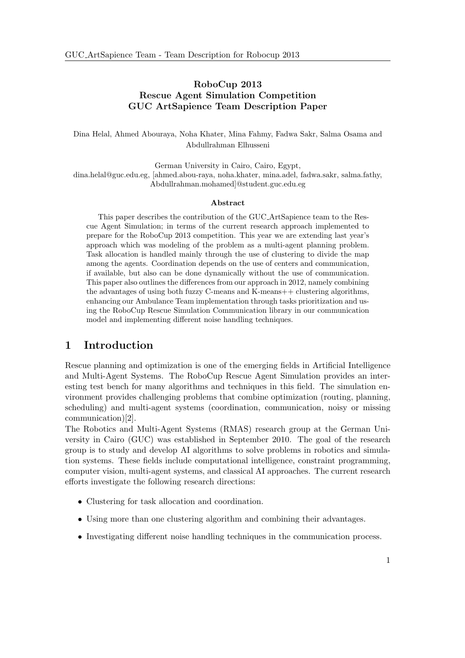## RoboCup 2013 Rescue Agent Simulation Competition GUC ArtSapience Team Description Paper

Dina Helal, Ahmed Abouraya, Noha Khater, Mina Fahmy, Fadwa Sakr, Salma Osama and Abdullrahman Elhusseni

German University in Cairo, Cairo, Egypt, dina.helal@guc.edu.eg, [ahmed.abou-raya, noha.khater, mina.adel, fadwa.sakr, salma.fathy, Abdullrahman.mohamed]@student.guc.edu.eg

#### Abstract

This paper describes the contribution of the GUC ArtSapience team to the Rescue Agent Simulation; in terms of the current research approach implemented to prepare for the RoboCup 2013 competition. This year we are extending last year's approach which was modeling of the problem as a multi-agent planning problem. Task allocation is handled mainly through the use of clustering to divide the map among the agents. Coordination depends on the use of centers and communication, if available, but also can be done dynamically without the use of communication. This paper also outlines the differences from our approach in 2012, namely combining the advantages of using both fuzzy C-means and K-means++ clustering algorithms, enhancing our Ambulance Team implementation through tasks prioritization and using the RoboCup Rescue Simulation Communication library in our communication model and implementing different noise handling techniques.

## 1 Introduction

Rescue planning and optimization is one of the emerging fields in Artificial Intelligence and Multi-Agent Systems. The RoboCup Rescue Agent Simulation provides an interesting test bench for many algorithms and techniques in this field. The simulation environment provides challenging problems that combine optimization (routing, planning, scheduling) and multi-agent systems (coordination, communication, noisy or missing communication)[2].

The Robotics and Multi-Agent Systems (RMAS) research group at the German University in Cairo (GUC) was established in September 2010. The goal of the research group is to study and develop AI algorithms to solve problems in robotics and simulation systems. These fields include computational intelligence, constraint programming, computer vision, multi-agent systems, and classical AI approaches. The current research efforts investigate the following research directions:

- Clustering for task allocation and coordination.
- Using more than one clustering algorithm and combining their advantages.
- Investigating different noise handling techniques in the communication process.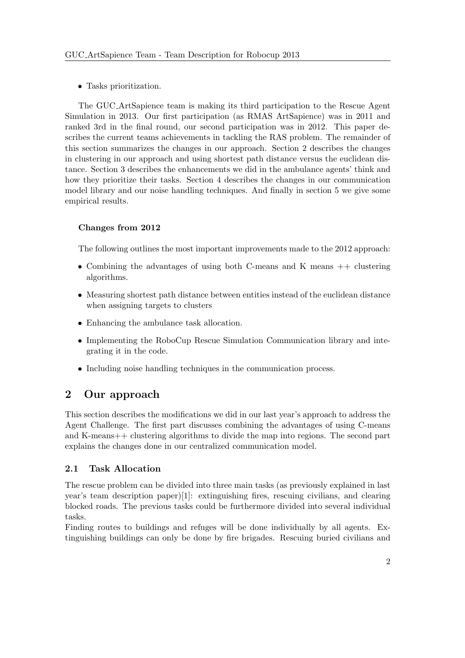• Tasks prioritization.

The GUC ArtSapience team is making its third participation to the Rescue Agent Simulation in 2013. Our first participation (as RMAS ArtSapience) was in 2011 and ranked 3rd in the final round, our second participation was in 2012. This paper describes the current teams achievements in tackling the RAS problem. The remainder of this section summarizes the changes in our approach. Section 2 describes the changes in clustering in our approach and using shortest path distance versus the euclidean distance. Section 3 describes the enhancements we did in the ambulance agents' think and how they prioritize their tasks. Section 4 describes the changes in our communication model library and our noise handling techniques. And finally in section 5 we give some empirical results.

## Changes from 2012

The following outlines the most important improvements made to the 2012 approach:

- Combining the advantages of using both C-means and K means ++ clustering algorithms.
- Measuring shortest path distance between entities instead of the euclidean distance when assigning targets to clusters
- Enhancing the ambulance task allocation.
- Implementing the RoboCup Rescue Simulation Communication library and integrating it in the code.
- Including noise handling techniques in the communication process.

# 2 Our approach

This section describes the modifications we did in our last year's approach to address the Agent Challenge. The first part discusses combining the advantages of using C-means and K-means++ clustering algorithms to divide the map into regions. The second part explains the changes done in our centralized communication model.

## 2.1 Task Allocation

The rescue problem can be divided into three main tasks (as previously explained in last year's team description paper)[1]: extinguishing fires, rescuing civilians, and clearing blocked roads. The previous tasks could be furthermore divided into several individual tasks.

Finding routes to buildings and refuges will be done individually by all agents. Extinguishing buildings can only be done by fire brigades. Rescuing buried civilians and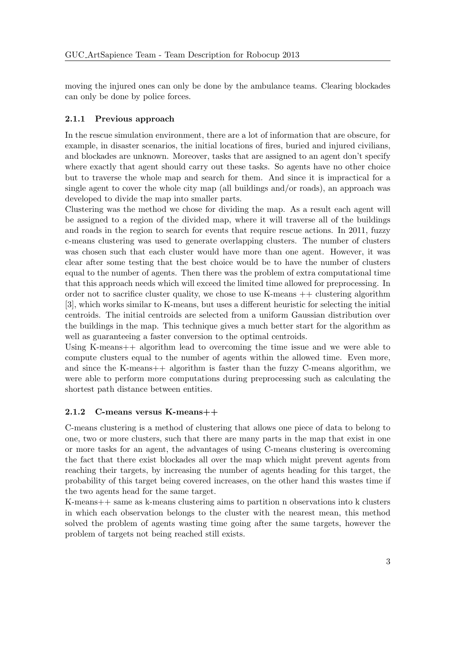moving the injured ones can only be done by the ambulance teams. Clearing blockades can only be done by police forces.

#### 2.1.1 Previous approach

In the rescue simulation environment, there are a lot of information that are obscure, for example, in disaster scenarios, the initial locations of fires, buried and injured civilians, and blockades are unknown. Moreover, tasks that are assigned to an agent don't specify where exactly that agent should carry out these tasks. So agents have no other choice but to traverse the whole map and search for them. And since it is impractical for a single agent to cover the whole city map (all buildings and/or roads), an approach was developed to divide the map into smaller parts.

Clustering was the method we chose for dividing the map. As a result each agent will be assigned to a region of the divided map, where it will traverse all of the buildings and roads in the region to search for events that require rescue actions. In 2011, fuzzy c-means clustering was used to generate overlapping clusters. The number of clusters was chosen such that each cluster would have more than one agent. However, it was clear after some testing that the best choice would be to have the number of clusters equal to the number of agents. Then there was the problem of extra computational time that this approach needs which will exceed the limited time allowed for preprocessing. In order not to sacrifice cluster quality, we chose to use  $K$ -means  $++$  clustering algorithm [3], which works similar to K-means, but uses a different heuristic for selecting the initial centroids. The initial centroids are selected from a uniform Gaussian distribution over the buildings in the map. This technique gives a much better start for the algorithm as well as guaranteeing a faster conversion to the optimal centroids.

Using K-means++ algorithm lead to overcoming the time issue and we were able to compute clusters equal to the number of agents within the allowed time. Even more, and since the K-means $++$  algorithm is faster than the fuzzy C-means algorithm, we were able to perform more computations during preprocessing such as calculating the shortest path distance between entities.

#### 2.1.2 C-means versus K-means++

C-means clustering is a method of clustering that allows one piece of data to belong to one, two or more clusters, such that there are many parts in the map that exist in one or more tasks for an agent, the advantages of using C-means clustering is overcoming the fact that there exist blockades all over the map which might prevent agents from reaching their targets, by increasing the number of agents heading for this target, the probability of this target being covered increases, on the other hand this wastes time if the two agents head for the same target.

K-means++ same as k-means clustering aims to partition n observations into k clusters in which each observation belongs to the cluster with the nearest mean, this method solved the problem of agents wasting time going after the same targets, however the problem of targets not being reached still exists.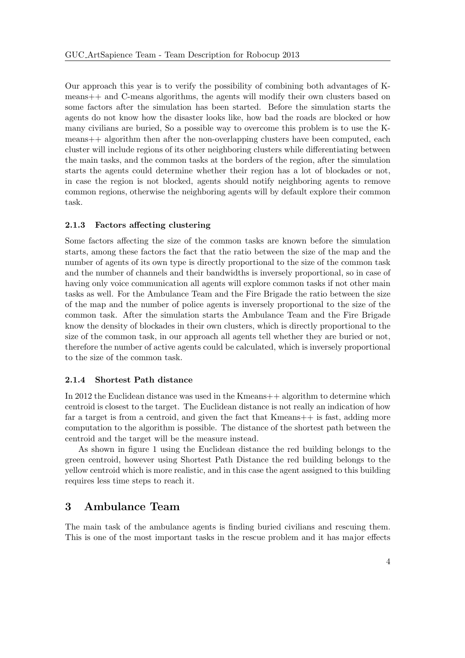Our approach this year is to verify the possibility of combining both advantages of Kmeans++ and C-means algorithms, the agents will modify their own clusters based on some factors after the simulation has been started. Before the simulation starts the agents do not know how the disaster looks like, how bad the roads are blocked or how many civilians are buried, So a possible way to overcome this problem is to use the Kmeans++ algorithm then after the non-overlapping clusters have been computed, each cluster will include regions of its other neighboring clusters while differentiating between the main tasks, and the common tasks at the borders of the region, after the simulation starts the agents could determine whether their region has a lot of blockades or not, in case the region is not blocked, agents should notify neighboring agents to remove common regions, otherwise the neighboring agents will by default explore their common task.

#### 2.1.3 Factors affecting clustering

Some factors affecting the size of the common tasks are known before the simulation starts, among these factors the fact that the ratio between the size of the map and the number of agents of its own type is directly proportional to the size of the common task and the number of channels and their bandwidths is inversely proportional, so in case of having only voice communication all agents will explore common tasks if not other main tasks as well. For the Ambulance Team and the Fire Brigade the ratio between the size of the map and the number of police agents is inversely proportional to the size of the common task. After the simulation starts the Ambulance Team and the Fire Brigade know the density of blockades in their own clusters, which is directly proportional to the size of the common task, in our approach all agents tell whether they are buried or not, therefore the number of active agents could be calculated, which is inversely proportional to the size of the common task.

#### 2.1.4 Shortest Path distance

In 2012 the Euclidean distance was used in the Kmeans++ algorithm to determine which centroid is closest to the target. The Euclidean distance is not really an indication of how far a target is from a centroid, and given the fact that Kmeans++ is fast, adding more computation to the algorithm is possible. The distance of the shortest path between the centroid and the target will be the measure instead.

As shown in figure 1 using the Euclidean distance the red building belongs to the green centroid, however using Shortest Path Distance the red building belongs to the yellow centroid which is more realistic, and in this case the agent assigned to this building requires less time steps to reach it.

# 3 Ambulance Team

The main task of the ambulance agents is finding buried civilians and rescuing them. This is one of the most important tasks in the rescue problem and it has major effects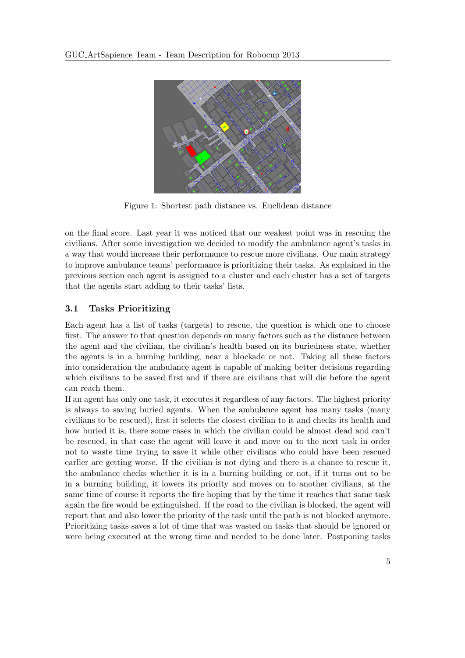

Figure 1: Shortest path distance vs. Euclidean distance

on the final score. Last year it was noticed that our weakest point was in rescuing the civilians. After some investigation we decided to modify the ambulance agent's tasks in a way that would increase their performance to rescue more civilians. Our main strategy to improve ambulance teams' performance is prioritizing their tasks. As explained in the previous section each agent is assigned to a cluster and each cluster has a set of targets that the agents start adding to their tasks' lists.

## 3.1 Tasks Prioritizing

Each agent has a list of tasks (targets) to rescue, the question is which one to choose first. The answer to that question depends on many factors such as the distance between the agent and the civilian, the civilian's health based on its buriedness state, whether the agents is in a burning building, near a blockade or not. Taking all these factors into consideration the ambulance agent is capable of making better decisions regarding which civilians to be saved first and if there are civilians that will die before the agent can reach them.

If an agent has only one task, it executes it regardless of any factors. The highest priority is always to saving buried agents. When the ambulance agent has many tasks (many civilians to be rescued), first it selects the closest civilian to it and checks its health and how buried it is, there some cases in which the civilian could be almost dead and can't be rescued, in that case the agent will leave it and move on to the next task in order not to waste time trying to save it while other civilians who could have been rescued earlier are getting worse. If the civilian is not dying and there is a chance to rescue it, the ambulance checks whether it is in a burning building or not, if it turns out to be in a burning building, it lowers its priority and moves on to another civilians, at the same time of course it reports the fire hoping that by the time it reaches that same task again the fire would be extinguished. If the road to the civilian is blocked, the agent will report that and also lower the priority of the task until the path is not blocked anymore. Prioritizing tasks saves a lot of time that was wasted on tasks that should be ignored or were being executed at the wrong time and needed to be done later. Postponing tasks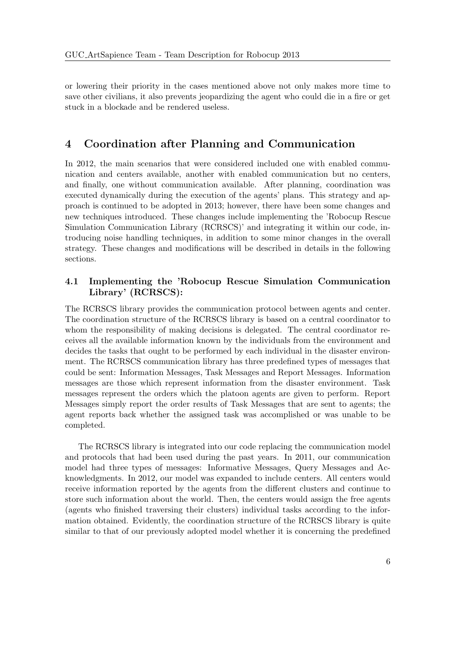or lowering their priority in the cases mentioned above not only makes more time to save other civilians, it also prevents jeopardizing the agent who could die in a fire or get stuck in a blockade and be rendered useless.

## 4 Coordination after Planning and Communication

In 2012, the main scenarios that were considered included one with enabled communication and centers available, another with enabled communication but no centers, and finally, one without communication available. After planning, coordination was executed dynamically during the execution of the agents' plans. This strategy and approach is continued to be adopted in 2013; however, there have been some changes and new techniques introduced. These changes include implementing the 'Robocup Rescue Simulation Communication Library (RCRSCS)' and integrating it within our code, introducing noise handling techniques, in addition to some minor changes in the overall strategy. These changes and modifications will be described in details in the following sections.

## 4.1 Implementing the 'Robocup Rescue Simulation Communication Library' (RCRSCS):

The RCRSCS library provides the communication protocol between agents and center. The coordination structure of the RCRSCS library is based on a central coordinator to whom the responsibility of making decisions is delegated. The central coordinator receives all the available information known by the individuals from the environment and decides the tasks that ought to be performed by each individual in the disaster environment. The RCRSCS communication library has three predefined types of messages that could be sent: Information Messages, Task Messages and Report Messages. Information messages are those which represent information from the disaster environment. Task messages represent the orders which the platoon agents are given to perform. Report Messages simply report the order results of Task Messages that are sent to agents; the agent reports back whether the assigned task was accomplished or was unable to be completed.

The RCRSCS library is integrated into our code replacing the communication model and protocols that had been used during the past years. In 2011, our communication model had three types of messages: Informative Messages, Query Messages and Acknowledgments. In 2012, our model was expanded to include centers. All centers would receive information reported by the agents from the different clusters and continue to store such information about the world. Then, the centers would assign the free agents (agents who finished traversing their clusters) individual tasks according to the information obtained. Evidently, the coordination structure of the RCRSCS library is quite similar to that of our previously adopted model whether it is concerning the predefined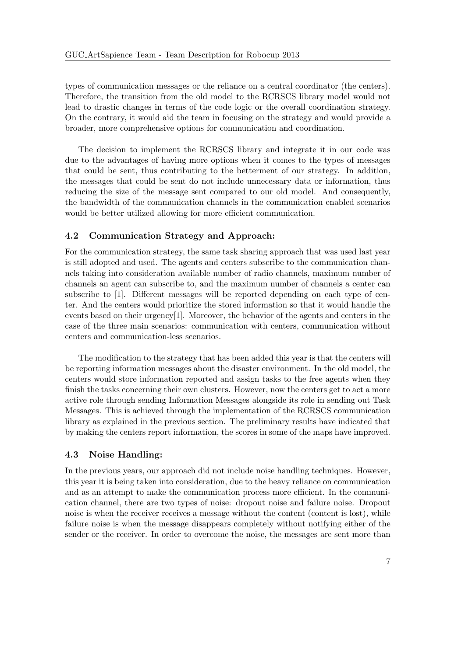types of communication messages or the reliance on a central coordinator (the centers). Therefore, the transition from the old model to the RCRSCS library model would not lead to drastic changes in terms of the code logic or the overall coordination strategy. On the contrary, it would aid the team in focusing on the strategy and would provide a broader, more comprehensive options for communication and coordination.

The decision to implement the RCRSCS library and integrate it in our code was due to the advantages of having more options when it comes to the types of messages that could be sent, thus contributing to the betterment of our strategy. In addition, the messages that could be sent do not include unnecessary data or information, thus reducing the size of the message sent compared to our old model. And consequently, the bandwidth of the communication channels in the communication enabled scenarios would be better utilized allowing for more efficient communication.

### 4.2 Communication Strategy and Approach:

For the communication strategy, the same task sharing approach that was used last year is still adopted and used. The agents and centers subscribe to the communication channels taking into consideration available number of radio channels, maximum number of channels an agent can subscribe to, and the maximum number of channels a center can subscribe to [1]. Different messages will be reported depending on each type of center. And the centers would prioritize the stored information so that it would handle the events based on their urgency[1]. Moreover, the behavior of the agents and centers in the case of the three main scenarios: communication with centers, communication without centers and communication-less scenarios.

The modification to the strategy that has been added this year is that the centers will be reporting information messages about the disaster environment. In the old model, the centers would store information reported and assign tasks to the free agents when they finish the tasks concerning their own clusters. However, now the centers get to act a more active role through sending Information Messages alongside its role in sending out Task Messages. This is achieved through the implementation of the RCRSCS communication library as explained in the previous section. The preliminary results have indicated that by making the centers report information, the scores in some of the maps have improved.

#### 4.3 Noise Handling:

In the previous years, our approach did not include noise handling techniques. However, this year it is being taken into consideration, due to the heavy reliance on communication and as an attempt to make the communication process more efficient. In the communication channel, there are two types of noise: dropout noise and failure noise. Dropout noise is when the receiver receives a message without the content (content is lost), while failure noise is when the message disappears completely without notifying either of the sender or the receiver. In order to overcome the noise, the messages are sent more than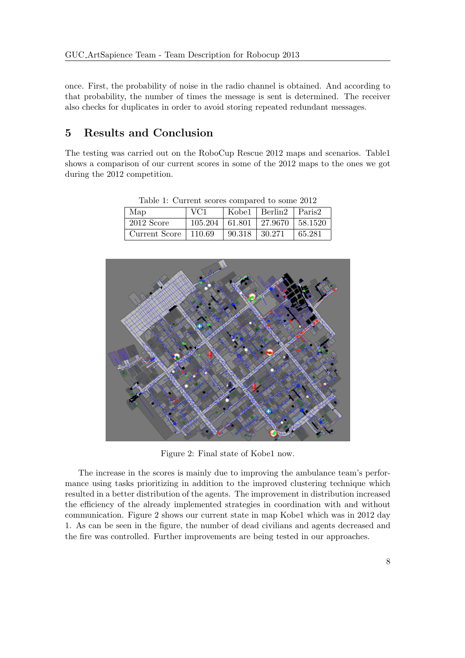once. First, the probability of noise in the radio channel is obtained. And according to that probability, the number of times the message is sent is determined. The receiver also checks for duplicates in order to avoid storing repeated redundant messages.

## 5 Results and Conclusion

The testing was carried out on the RoboCup Rescue 2012 maps and scenarios. Table1 shows a comparison of our current scores in some of the 2012 maps to the ones we got during the 2012 competition.

| Lable 1: Current scores compared to some 2012 |        |        |                                        |        |
|-----------------------------------------------|--------|--------|----------------------------------------|--------|
| Map                                           | VC1    |        | Kobel   Berlin2   Paris2               |        |
| $2012$ Score                                  |        |        | $105.204$   61.801   27.9670   58.1520 |        |
| Current Score                                 | 110.69 | 90.318 | 30.271                                 | 65.281 |

Table 1: Current scores compared to some 2012



Figure 2: Final state of Kobe1 now.

The increase in the scores is mainly due to improving the ambulance team's performance using tasks prioritizing in addition to the improved clustering technique which resulted in a better distribution of the agents. The improvement in distribution increased the efficiency of the already implemented strategies in coordination with and without communication. Figure 2 shows our current state in map Kobe1 which was in 2012 day 1. As can be seen in the figure, the number of dead civilians and agents decreased and the fire was controlled. Further improvements are being tested in our approaches.